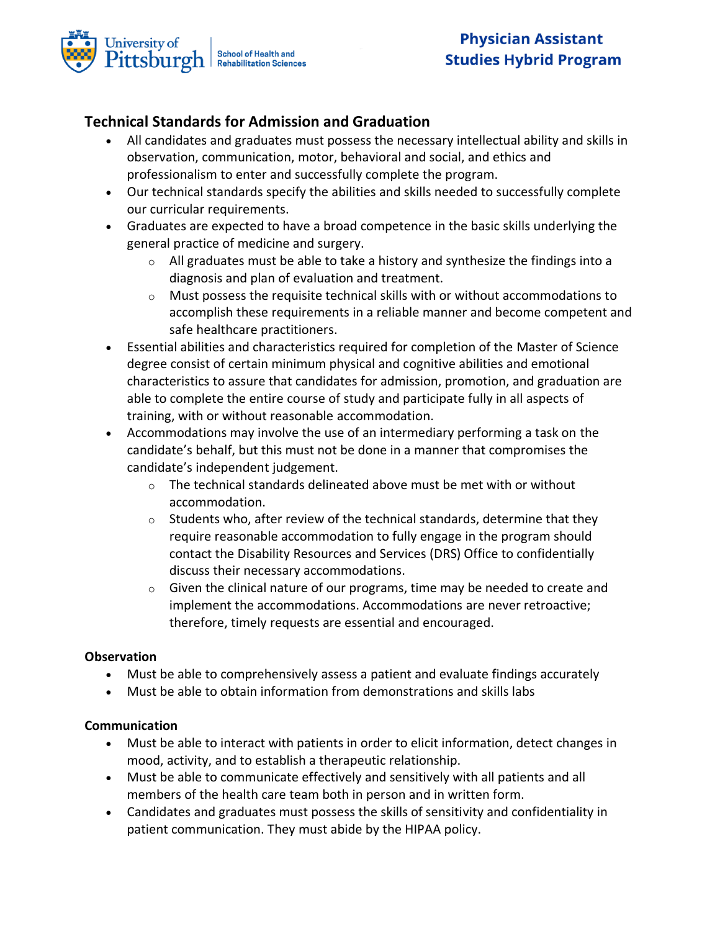

# **Technical Standards for Admission and Graduation**

- All candidates and graduates must possess the necessary intellectual ability and skills in observation, communication, motor, behavioral and social, and ethics and professionalism to enter and successfully complete the program.
- Our technical standards specify the abilities and skills needed to successfully complete our curricular requirements.
- Graduates are expected to have a broad competence in the basic skills underlying the general practice of medicine and surgery.
	- $\circ$  All graduates must be able to take a history and synthesize the findings into a diagnosis and plan of evaluation and treatment.
	- $\circ$  Must possess the requisite technical skills with or without accommodations to accomplish these requirements in a reliable manner and become competent and safe healthcare practitioners.
- Essential abilities and characteristics required for completion of the Master of Science degree consist of certain minimum physical and cognitive abilities and emotional characteristics to assure that candidates for admission, promotion, and graduation are able to complete the entire course of study and participate fully in all aspects of training, with or without reasonable accommodation.
- Accommodations may involve the use of an intermediary performing a task on the candidate's behalf, but this must not be done in a manner that compromises the candidate's independent judgement.
	- $\circ$  The technical standards delineated above must be met with or without accommodation.
	- $\circ$  Students who, after review of the technical standards, determine that they require reasonable accommodation to fully engage in the program should contact the Disability Resources and Services (DRS) Office to confidentially discuss their necessary accommodations.
	- $\circ$  Given the clinical nature of our programs, time may be needed to create and implement the accommodations. Accommodations are never retroactive; therefore, timely requests are essential and encouraged.

## **Observation**

- Must be able to comprehensively assess a patient and evaluate findings accurately
- Must be able to obtain information from demonstrations and skills labs

## **Communication**

- Must be able to interact with patients in order to elicit information, detect changes in mood, activity, and to establish a therapeutic relationship.
- Must be able to communicate effectively and sensitively with all patients and all members of the health care team both in person and in written form.
- Candidates and graduates must possess the skills of sensitivity and confidentiality in patient communication. They must abide by the HIPAA policy.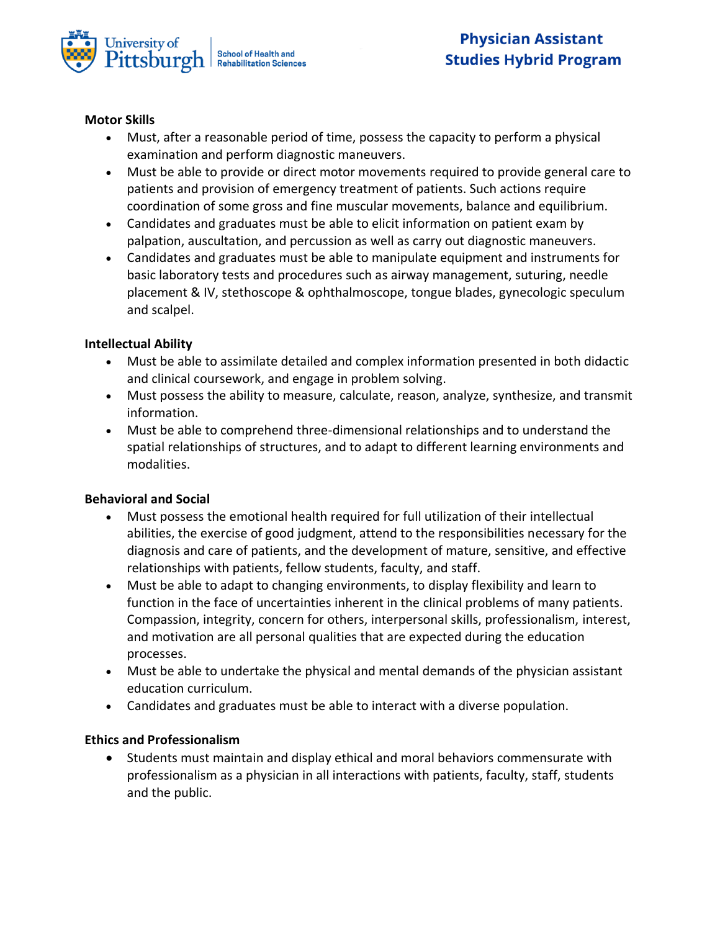

### **Motor Skills**

- Must, after a reasonable period of time, possess the capacity to perform a physical examination and perform diagnostic maneuvers.
- Must be able to provide or direct motor movements required to provide general care to patients and provision of emergency treatment of patients. Such actions require coordination of some gross and fine muscular movements, balance and equilibrium.
- Candidates and graduates must be able to elicit information on patient exam by palpation, auscultation, and percussion as well as carry out diagnostic maneuvers.
- Candidates and graduates must be able to manipulate equipment and instruments for basic laboratory tests and procedures such as airway management, suturing, needle placement & IV, stethoscope & ophthalmoscope, tongue blades, gynecologic speculum and scalpel.

### **Intellectual Ability**

- Must be able to assimilate detailed and complex information presented in both didactic and clinical coursework, and engage in problem solving.
- Must possess the ability to measure, calculate, reason, analyze, synthesize, and transmit information.
- Must be able to comprehend three-dimensional relationships and to understand the spatial relationships of structures, and to adapt to different learning environments and modalities.

#### **Behavioral and Social**

- Must possess the emotional health required for full utilization of their intellectual abilities, the exercise of good judgment, attend to the responsibilities necessary for the diagnosis and care of patients, and the development of mature, sensitive, and effective relationships with patients, fellow students, faculty, and staff.
- Must be able to adapt to changing environments, to display flexibility and learn to function in the face of uncertainties inherent in the clinical problems of many patients. Compassion, integrity, concern for others, interpersonal skills, professionalism, interest, and motivation are all personal qualities that are expected during the education processes.
- Must be able to undertake the physical and mental demands of the physician assistant education curriculum.
- Candidates and graduates must be able to interact with a diverse population.

## **Ethics and Professionalism**

• Students must maintain and display ethical and moral behaviors commensurate with professionalism as a physician in all interactions with patients, faculty, staff, students and the public.